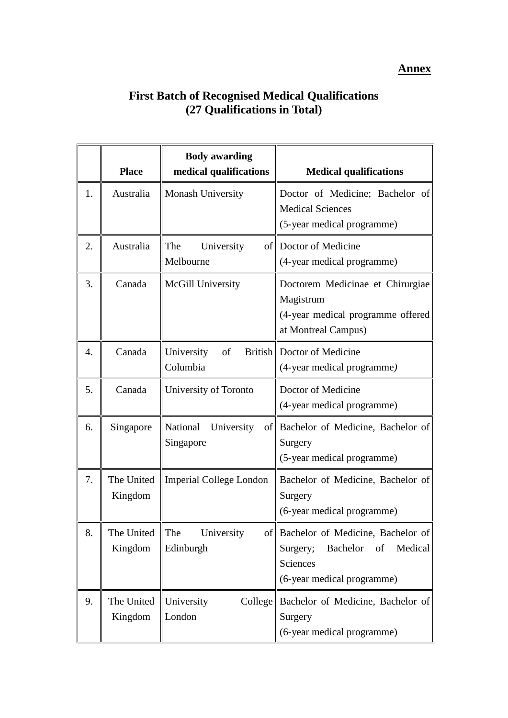## **Annex**

## **First Batch of Recognised Medical Qualifications (27 Qualifications in Total)**

|    | <b>Place</b>          | <b>Body awarding</b><br>medical qualifications | <b>Medical qualifications</b>                                                                                           |
|----|-----------------------|------------------------------------------------|-------------------------------------------------------------------------------------------------------------------------|
| 1. | Australia             | <b>Monash University</b>                       | Doctor of Medicine; Bachelor of<br><b>Medical Sciences</b><br>(5-year medical programme)                                |
| 2. | Australia             | The<br>University<br>Melbourne                 | of Doctor of Medicine<br>(4-year medical programme)                                                                     |
| 3. | Canada                | McGill University                              | Doctorem Medicinae et Chirurgiae<br>Magistrum<br>(4-year medical programme offered<br>at Montreal Campus)               |
| 4. | Canada                | of<br>University<br>Columbia                   | British   Doctor of Medicine<br>(4-year medical programme)                                                              |
| 5. | Canada                | University of Toronto                          | Doctor of Medicine<br>(4-year medical programme)                                                                        |
| 6. | Singapore             | National<br>University<br>Singapore            | of Bachelor of Medicine, Bachelor of<br>Surgery<br>(5-year medical programme)                                           |
| 7. | The United<br>Kingdom | <b>Imperial College London</b>                 | Bachelor of Medicine, Bachelor of<br>Surgery<br>(6-year medical programme)                                              |
| 8. | The United<br>Kingdom | The<br>University<br>Edinburgh                 | of Bachelor of Medicine, Bachelor of<br>Surgery;<br>Bachelor<br>of<br>Medical<br>Sciences<br>(6-year medical programme) |
| 9. | The United<br>Kingdom | University<br>London                           | College Bachelor of Medicine, Bachelor of<br>Surgery<br>(6-year medical programme)                                      |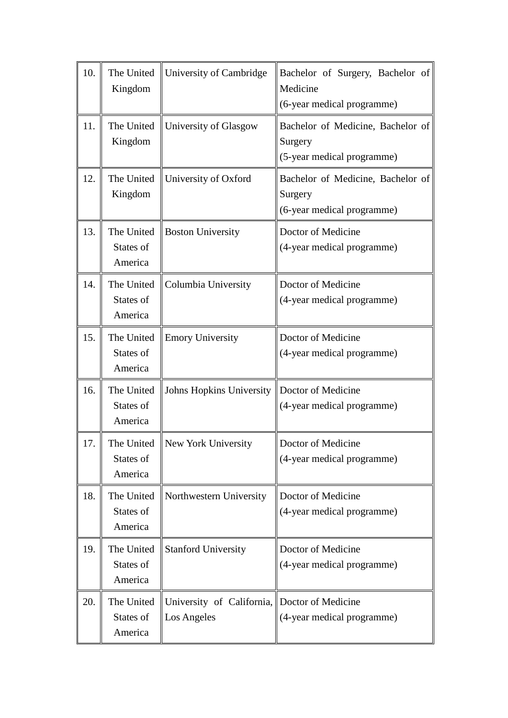| 10. | The United<br>Kingdom              | University of Cambridge                                     | Bachelor of Surgery, Bachelor of<br>Medicine<br>(6-year medical programme) |
|-----|------------------------------------|-------------------------------------------------------------|----------------------------------------------------------------------------|
| 11. | Kingdom                            | The United University of Glasgow                            | Bachelor of Medicine, Bachelor of<br>Surgery<br>(5-year medical programme) |
| 12. | The United<br>Kingdom              | University of Oxford                                        | Bachelor of Medicine, Bachelor of<br>Surgery<br>(6-year medical programme) |
| 13. | The United<br>States of<br>America | <b>Boston University</b>                                    | Doctor of Medicine<br>(4-year medical programme)                           |
| 14. | The United<br>States of<br>America | Columbia University                                         | Doctor of Medicine<br>(4-year medical programme)                           |
| 15. | The United<br>States of<br>America | <b>Emory University</b>                                     | Doctor of Medicine<br>(4-year medical programme)                           |
| 16. | The United<br>States of<br>America | Johns Hopkins University                                    | Doctor of Medicine<br>(4-year medical programme)                           |
| 17. | States of<br>America               | The United    New York University                           | Doctor of Medicine<br>(4-year medical programme)                           |
| 18. | The United<br>States of<br>America | Northwestern University                                     | Doctor of Medicine<br>(4-year medical programme)                           |
| 19. | The United<br>States of<br>America | <b>Stanford University</b>                                  | Doctor of Medicine<br>(4-year medical programme)                           |
| 20. | The United<br>States of<br>America | University of California, Doctor of Medicine<br>Los Angeles | (4-year medical programme)                                                 |